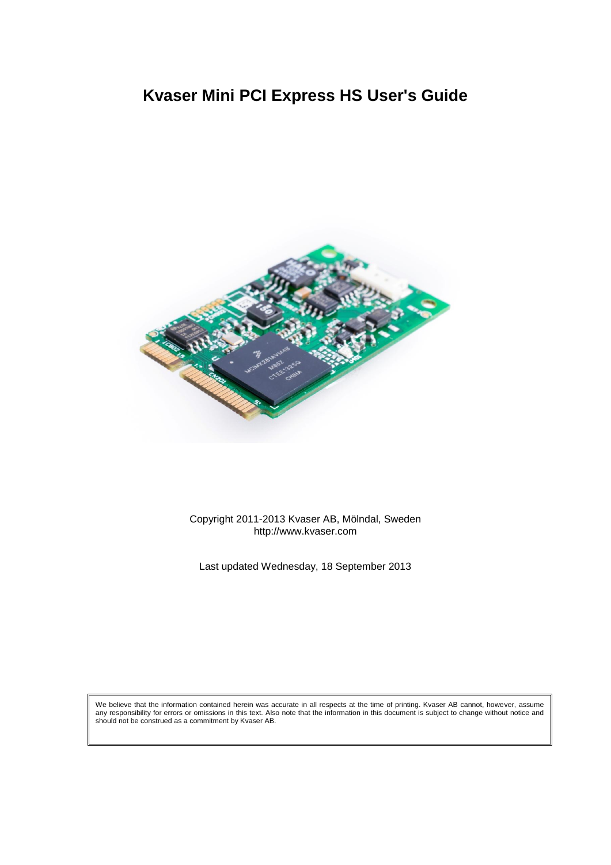# **Kvaser Mini PCI Express HS User's Guide**



Copyright 2011-2013 Kvaser AB, Mölndal, Sweden http://www.kvaser.com

Last updated Wednesday, 18 September 2013

We believe that the information contained herein was accurate in all respects at the time of printing. Kvaser AB cannot, however, assume any responsibility for errors or omissions in this text. Also note that the information in this document is subject to change without notice and should not be construed as a commitment by Kvaser AB.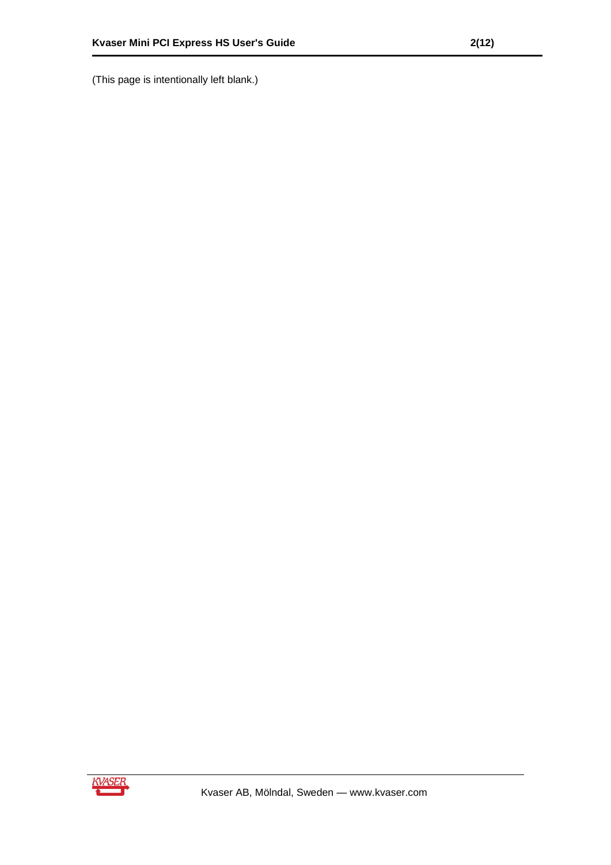(This page is intentionally left blank.)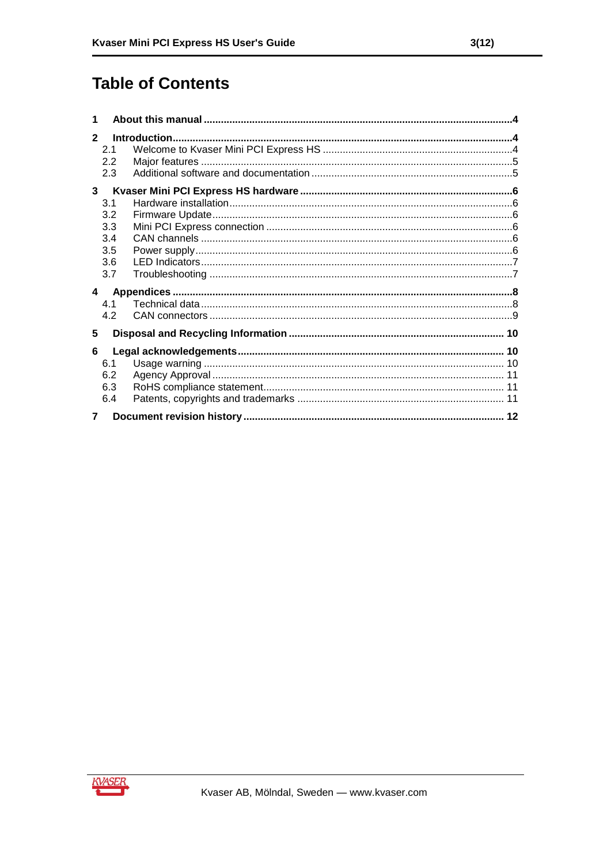# **Table of Contents**

| 1              |                   |  |  |  |
|----------------|-------------------|--|--|--|
| $\mathbf{2}$   | 2.1<br>2.2<br>2.3 |  |  |  |
| $\mathbf{3}$   |                   |  |  |  |
|                | 3.1<br>3.2<br>3.3 |  |  |  |
|                | 3.4               |  |  |  |
|                | 3.5               |  |  |  |
|                | 3.6               |  |  |  |
|                | 3.7               |  |  |  |
| $\overline{4}$ | 4.1               |  |  |  |
|                | 42                |  |  |  |
| 5              |                   |  |  |  |
| 6              |                   |  |  |  |
|                | 6.1               |  |  |  |
|                | 6.2               |  |  |  |
|                | 6.3               |  |  |  |
|                | 6.4               |  |  |  |
| $\overline{7}$ |                   |  |  |  |

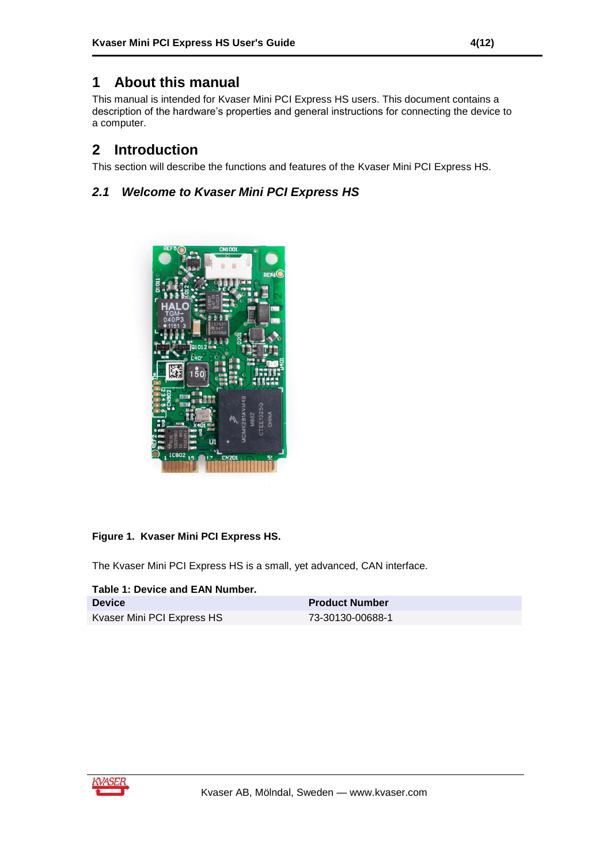# <span id="page-3-0"></span>**1 About this manual**

This manual is intended for Kvaser Mini PCI Express HS users. This document contains a description of the hardware's properties and general instructions for connecting the device to a computer.

# <span id="page-3-1"></span>**2 Introduction**

This section will describe the functions and features of the Kvaser Mini PCI Express HS.

## <span id="page-3-2"></span>*2.1 Welcome to Kvaser Mini PCI Express HS*



### **Figure 1. Kvaser Mini PCI Express HS.**

The Kvaser Mini PCI Express HS is a small, yet advanced, CAN interface.

| Table 1: Device and EAN Number. |                       |
|---------------------------------|-----------------------|
| <b>Device</b>                   | <b>Product Number</b> |
| Kvaser Mini PCI Express HS      | 73-30130-00688-1      |

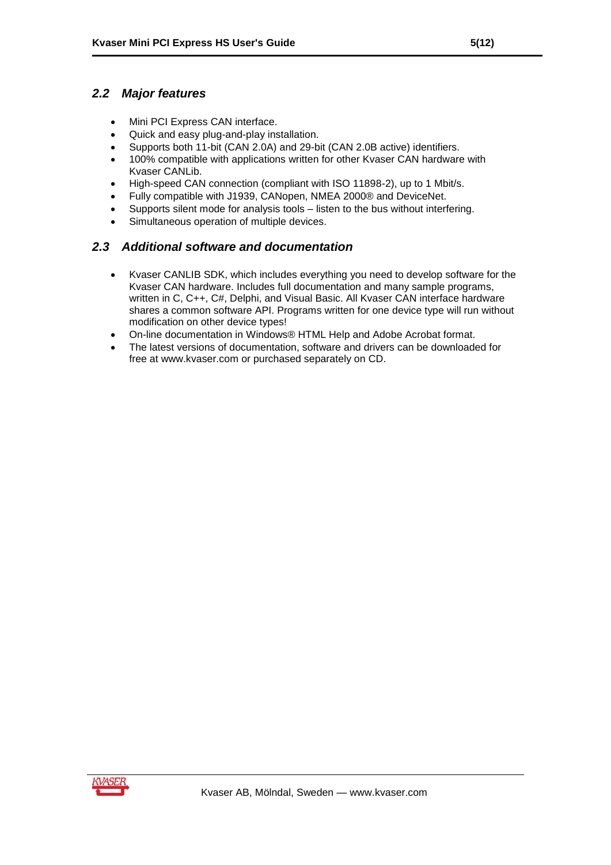### <span id="page-4-0"></span>*2.2 Major features*

- Mini PCI Express CAN interface.
- Quick and easy plug-and-play installation.
- Supports both 11-bit (CAN 2.0A) and 29-bit (CAN 2.0B active) identifiers.
- 100% compatible with applications written for other Kvaser CAN hardware with Kvaser CANLib.
- High-speed CAN connection (compliant with ISO 11898-2), up to 1 Mbit/s.
- Fully compatible with J1939, CANopen, NMEA 2000® and DeviceNet.
- Supports silent mode for analysis tools listen to the bus without interfering.
- Simultaneous operation of multiple devices.

### <span id="page-4-1"></span>*2.3 Additional software and documentation*

- Kvaser CANLIB SDK, which includes everything you need to develop software for the Kvaser CAN hardware. Includes full documentation and many sample programs, written in C, C++, C#, Delphi, and Visual Basic. All Kvaser CAN interface hardware shares a common software API. Programs written for one device type will run without modification on other device types!
- On-line documentation in Windows® HTML Help and Adobe Acrobat format.
- The latest versions of documentation, software and drivers can be downloaded for free at www.kvaser.com or purchased separately on CD.

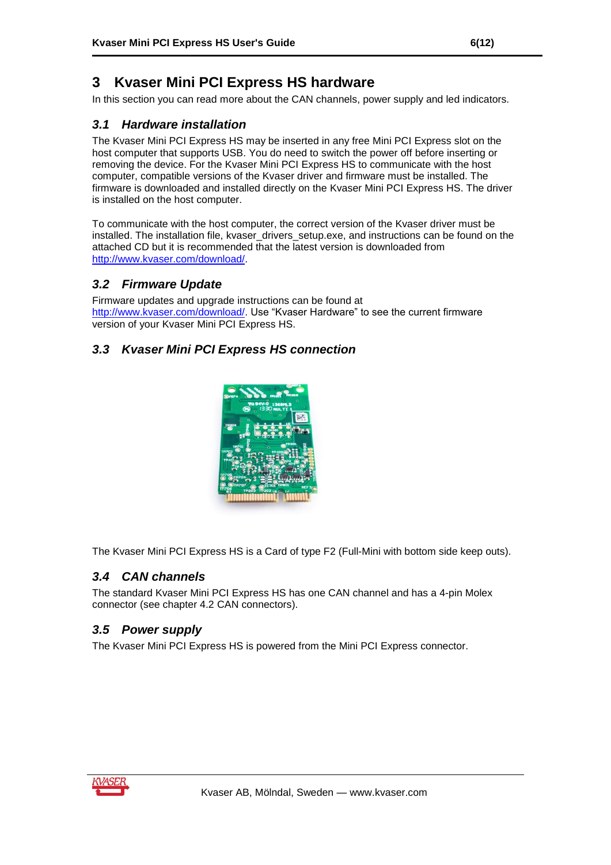# <span id="page-5-0"></span>**3 Kvaser Mini PCI Express HS hardware**

<span id="page-5-1"></span>In this section you can read more about the CAN channels, power supply and led indicators.

### *3.1 Hardware installation*

The Kvaser Mini PCI Express HS may be inserted in any free Mini PCI Express slot on the host computer that supports USB. You do need to switch the power off before inserting or removing the device. For the Kvaser Mini PCI Express HS to communicate with the host computer, compatible versions of the Kvaser driver and firmware must be installed. The firmware is downloaded and installed directly on the Kvaser Mini PCI Express HS. The driver is installed on the host computer.

To communicate with the host computer, the correct version of the Kvaser driver must be installed. The installation file, kvaser\_drivers\_setup.exe, and instructions can be found on the attached CD but it is recommended that the latest version is downloaded from [http://www.kvaser.com/download/.](http://www.kvaser.com/download/)

### <span id="page-5-2"></span>*3.2 Firmware Update*

Firmware updates and upgrade instructions can be found at [http://www.kvaser.com/download/.](http://www.kvaser.com/download/) Use "Kvaser Hardware" to see the current firmware version of your Kvaser Mini PCI Express HS.

### <span id="page-5-3"></span>*3.3 Kvaser Mini PCI Express HS connection*



The Kvaser Mini PCI Express HS is a Card of type F2 (Full-Mini with bottom side keep outs).

### <span id="page-5-4"></span>*3.4 CAN channels*

The standard Kvaser Mini PCI Express HS has one CAN channel and has a 4-pin Molex connector (see chapter [4.2](#page-8-0) [CAN connectors\)](#page-8-0).

### <span id="page-5-5"></span>*3.5 Power supply*

The Kvaser Mini PCI Express HS is powered from the Mini PCI Express connector.

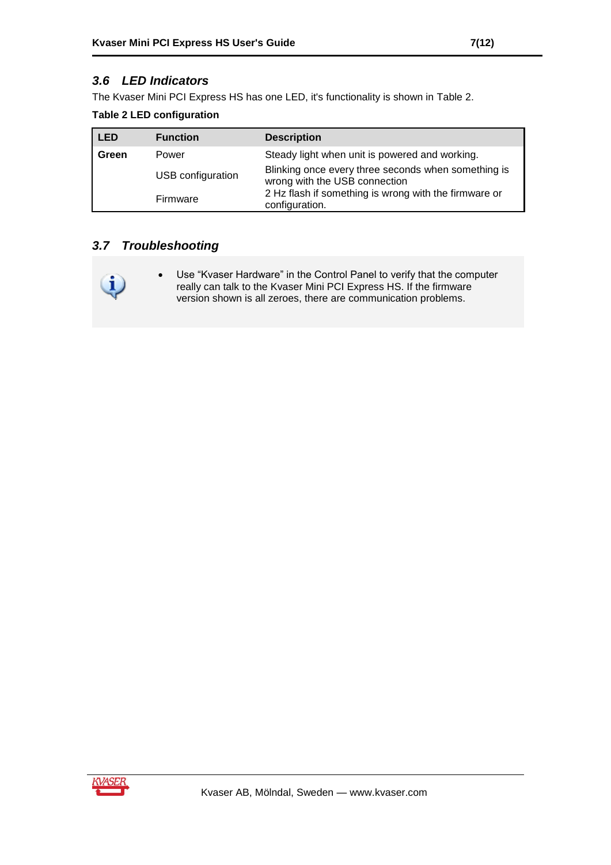## <span id="page-6-0"></span>*3.6 LED Indicators*

The Kvaser Mini PCI Express HS has one LED, it's functionality is shown in [Table 2.](#page-6-2)

### <span id="page-6-2"></span>**Table 2 LED configuration**

| <b>LED</b> | <b>Function</b>   | <b>Description</b>                                                                   |
|------------|-------------------|--------------------------------------------------------------------------------------|
| Green      | Power             | Steady light when unit is powered and working.                                       |
|            | USB configuration | Blinking once every three seconds when something is<br>wrong with the USB connection |
|            | Firmware          | 2 Hz flash if something is wrong with the firmware or<br>configuration.              |

## <span id="page-6-1"></span>*3.7 Troubleshooting*



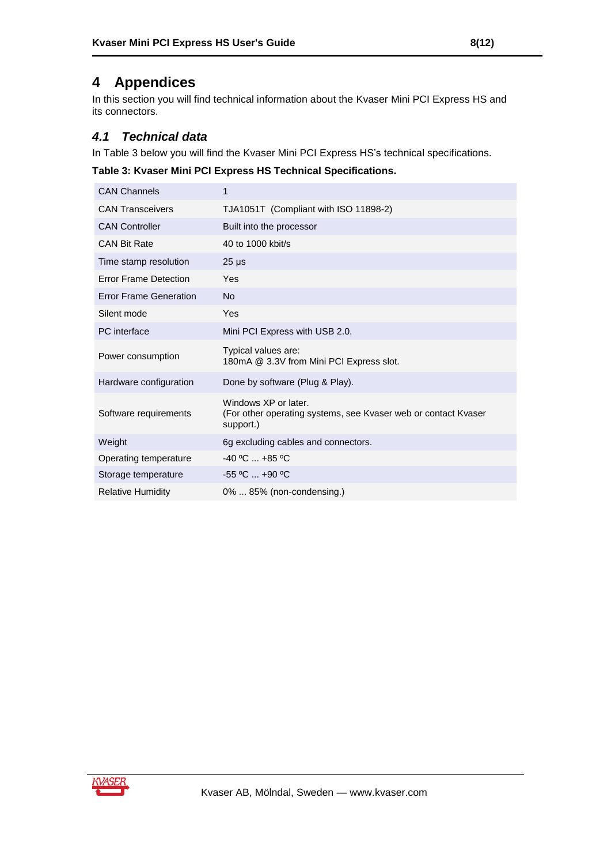# <span id="page-7-0"></span>**4 Appendices**

In this section you will find technical information about the Kvaser Mini PCI Express HS and its connectors.

### <span id="page-7-1"></span>*4.1 Technical data*

In [Table 3](#page-7-2) below you will find the Kvaser Mini PCI Express HS's technical specifications.

<span id="page-7-2"></span>

| Table 3: Kvaser Mini PCI Express HS Technical Specifications. |  |
|---------------------------------------------------------------|--|
|---------------------------------------------------------------|--|

| <b>CAN Channels</b>           | 1                                                                                                   |
|-------------------------------|-----------------------------------------------------------------------------------------------------|
| <b>CAN Transceivers</b>       | TJA1051T (Compliant with ISO 11898-2)                                                               |
| <b>CAN Controller</b>         | Built into the processor                                                                            |
| <b>CAN Bit Rate</b>           | 40 to 1000 kbit/s                                                                                   |
| Time stamp resolution         | $25 \mu s$                                                                                          |
| <b>Error Frame Detection</b>  | Yes                                                                                                 |
| <b>Error Frame Generation</b> | <b>No</b>                                                                                           |
| Silent mode                   | Yes                                                                                                 |
| PC interface                  | Mini PCI Express with USB 2.0.                                                                      |
|                               |                                                                                                     |
| Power consumption             | Typical values are:<br>180mA @ 3.3V from Mini PCI Express slot.                                     |
| Hardware configuration        | Done by software (Plug & Play).                                                                     |
| Software requirements         | Windows XP or later.<br>(For other operating systems, see Kvaser web or contact Kvaser<br>support.) |
| Weight                        | 6g excluding cables and connectors.                                                                 |
| Operating temperature         | $-40$ °C $+85$ °C                                                                                   |
| Storage temperature           | -55 °C  +90 °C                                                                                      |

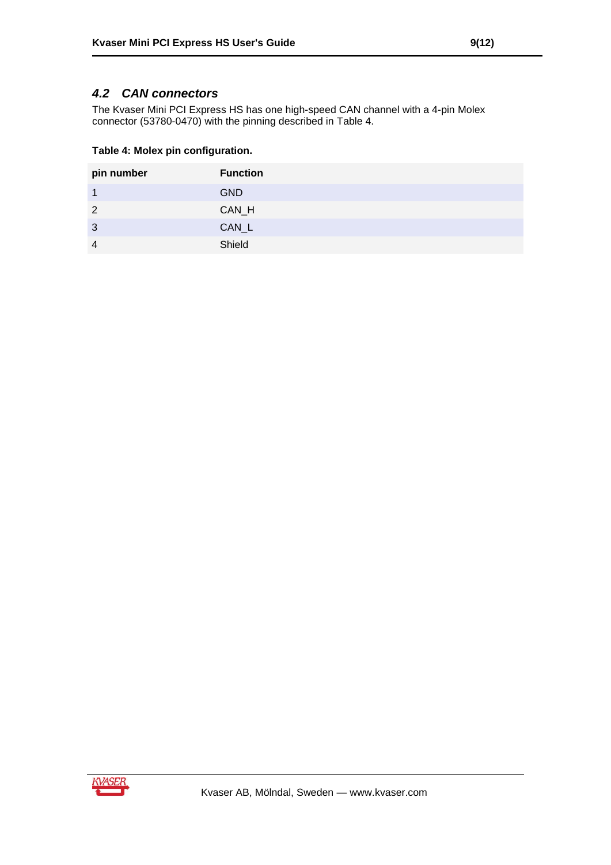### <span id="page-8-0"></span>*4.2 CAN connectors*

The Kvaser Mini PCI Express HS has one high-speed CAN channel with a 4-pin Molex connector (53780-0470) with the pinning described in [Table 4.](#page-8-1)

#### <span id="page-8-1"></span>**Table 4: Molex pin configuration.**

| pin number     | <b>Function</b> |
|----------------|-----------------|
| $\overline{1}$ | <b>GND</b>      |
| $\overline{2}$ | CAN_H           |
| 3              | $CAN_L$         |
| $\overline{4}$ | Shield          |

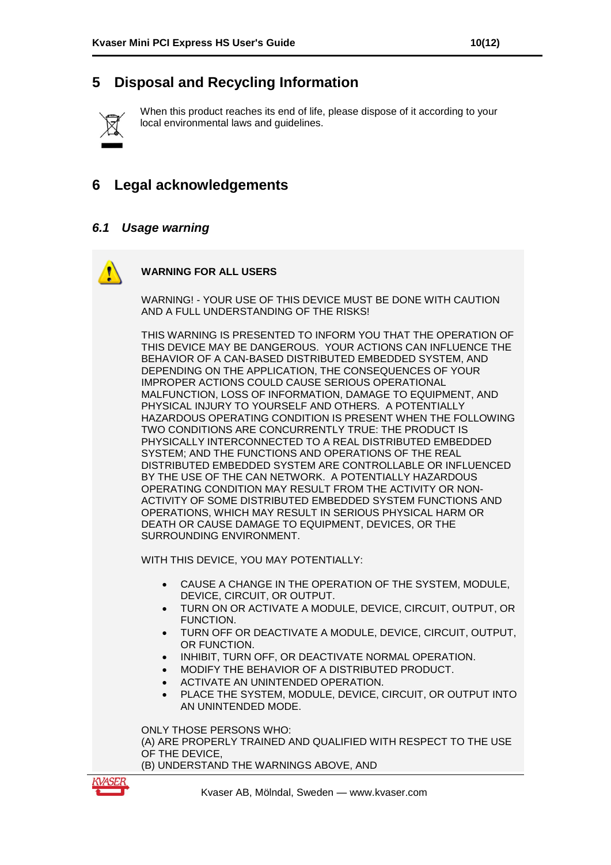# <span id="page-9-0"></span>**5 Disposal and Recycling Information**



When this product reaches its end of life, please dispose of it according to your local environmental laws and guidelines.

## <span id="page-9-1"></span>**6 Legal acknowledgements**

### <span id="page-9-2"></span>*6.1 Usage warning*



### **WARNING FOR ALL USERS**

WARNING! - YOUR USE OF THIS DEVICE MUST BE DONE WITH CAUTION AND A FULL UNDERSTANDING OF THE RISKS!

THIS WARNING IS PRESENTED TO INFORM YOU THAT THE OPERATION OF THIS DEVICE MAY BE DANGEROUS. YOUR ACTIONS CAN INFLUENCE THE BEHAVIOR OF A CAN-BASED DISTRIBUTED EMBEDDED SYSTEM, AND DEPENDING ON THE APPLICATION, THE CONSEQUENCES OF YOUR IMPROPER ACTIONS COULD CAUSE SERIOUS OPERATIONAL MALFUNCTION, LOSS OF INFORMATION, DAMAGE TO EQUIPMENT, AND PHYSICAL INJURY TO YOURSELF AND OTHERS. A POTENTIALLY HAZARDOUS OPERATING CONDITION IS PRESENT WHEN THE FOLLOWING TWO CONDITIONS ARE CONCURRENTLY TRUE: THE PRODUCT IS PHYSICALLY INTERCONNECTED TO A REAL DISTRIBUTED EMBEDDED SYSTEM; AND THE FUNCTIONS AND OPERATIONS OF THE REAL DISTRIBUTED EMBEDDED SYSTEM ARE CONTROLLABLE OR INFLUENCED BY THE USE OF THE CAN NETWORK. A POTENTIALLY HAZARDOUS OPERATING CONDITION MAY RESULT FROM THE ACTIVITY OR NON-ACTIVITY OF SOME DISTRIBUTED EMBEDDED SYSTEM FUNCTIONS AND OPERATIONS, WHICH MAY RESULT IN SERIOUS PHYSICAL HARM OR DEATH OR CAUSE DAMAGE TO EQUIPMENT, DEVICES, OR THE SURROUNDING ENVIRONMENT.

WITH THIS DEVICE, YOU MAY POTENTIALLY:

- CAUSE A CHANGE IN THE OPERATION OF THE SYSTEM, MODULE, DEVICE, CIRCUIT, OR OUTPUT.
- TURN ON OR ACTIVATE A MODULE, DEVICE, CIRCUIT, OUTPUT, OR FUNCTION.
- TURN OFF OR DEACTIVATE A MODULE, DEVICE, CIRCUIT, OUTPUT, OR FUNCTION.
- INHIBIT, TURN OFF, OR DEACTIVATE NORMAL OPERATION.
- MODIFY THE BEHAVIOR OF A DISTRIBUTED PRODUCT.
- **ACTIVATE AN UNINTENDED OPERATION.**
- PLACE THE SYSTEM, MODULE, DEVICE, CIRCUIT, OR OUTPUT INTO AN UNINTENDED MODE.

ONLY THOSE PERSONS WHO:

(A) ARE PROPERLY TRAINED AND QUALIFIED WITH RESPECT TO THE USE OF THE DEVICE,

(B) UNDERSTAND THE WARNINGS ABOVE, AND

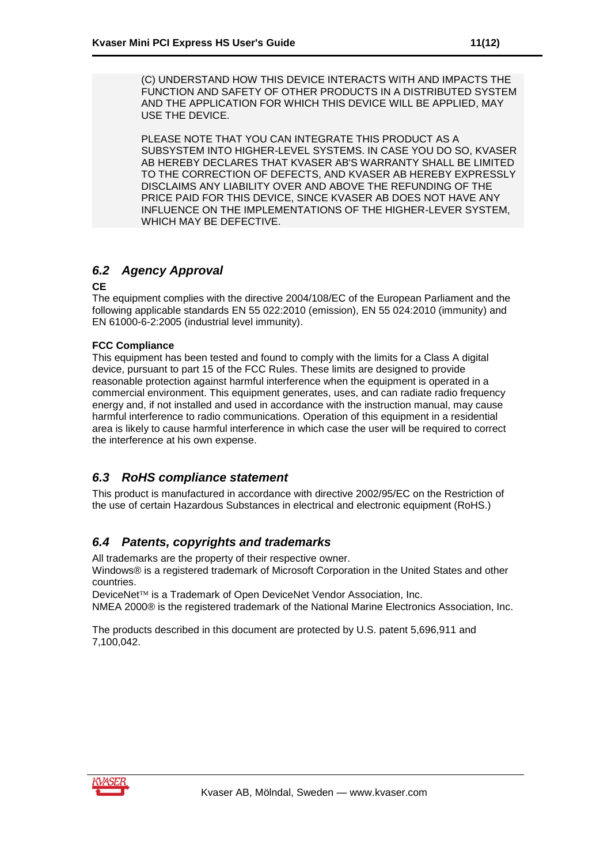(C) UNDERSTAND HOW THIS DEVICE INTERACTS WITH AND IMPACTS THE FUNCTION AND SAFETY OF OTHER PRODUCTS IN A DISTRIBUTED SYSTEM AND THE APPLICATION FOR WHICH THIS DEVICE WILL BE APPLIED, MAY USE THE DEVICE.

PLEASE NOTE THAT YOU CAN INTEGRATE THIS PRODUCT AS A SUBSYSTEM INTO HIGHER-LEVEL SYSTEMS. IN CASE YOU DO SO, KVASER AB HEREBY DECLARES THAT KVASER AB'S WARRANTY SHALL BE LIMITED TO THE CORRECTION OF DEFECTS, AND KVASER AB HEREBY EXPRESSLY DISCLAIMS ANY LIABILITY OVER AND ABOVE THE REFUNDING OF THE PRICE PAID FOR THIS DEVICE, SINCE KVASER AB DOES NOT HAVE ANY INFLUENCE ON THE IMPLEMENTATIONS OF THE HIGHER-LEVER SYSTEM, WHICH MAY BE DEFECTIVE.

## <span id="page-10-0"></span>*6.2 Agency Approval*

#### **CE**

The equipment complies with the directive 2004/108/EC of the European Parliament and the following applicable standards EN 55 022:2010 (emission), EN 55 024:2010 (immunity) and EN 61000-6-2:2005 (industrial level immunity).

#### **FCC Compliance**

This equipment has been tested and found to comply with the limits for a Class A digital device, pursuant to part 15 of the FCC Rules. These limits are designed to provide reasonable protection against harmful interference when the equipment is operated in a commercial environment. This equipment generates, uses, and can radiate radio frequency energy and, if not installed and used in accordance with the instruction manual, may cause harmful interference to radio communications. Operation of this equipment in a residential area is likely to cause harmful interference in which case the user will be required to correct the interference at his own expense.

### <span id="page-10-1"></span>*6.3 RoHS compliance statement*

This product is manufactured in accordance with directive 2002/95/EC on the Restriction of the use of certain Hazardous Substances in electrical and electronic equipment (RoHS.)

### <span id="page-10-2"></span>*6.4 Patents, copyrights and trademarks*

All trademarks are the property of their respective owner. Windows® is a registered trademark of Microsoft Corporation in the United States and other countries.

DeviceNet<sup>™</sup> is a Trademark of Open DeviceNet Vendor Association, Inc.

NMEA 2000® is the registered trademark of the National Marine Electronics Association, Inc.

The products described in this document are protected by U.S. patent 5,696,911 and 7,100,042.